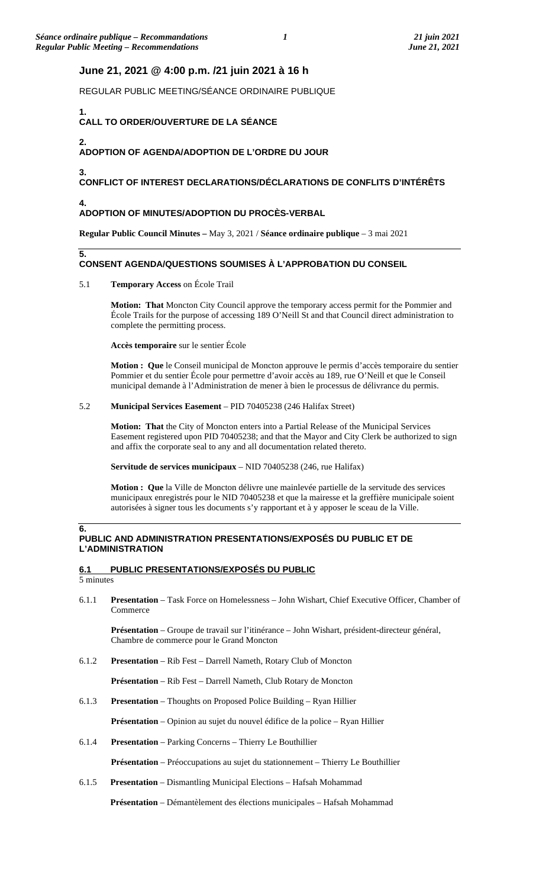# **June 21, 2021 @ 4:00 p.m. /21 juin 2021 à 16 h**

REGULAR PUBLIC MEETING/SÉANCE ORDINAIRE PUBLIQUE

### **1. CALL TO ORDER/OUVERTURE DE LA SÉANCE**

### **2. ADOPTION OF AGENDA/ADOPTION DE L'ORDRE DU JOUR**

### **3. CONFLICT OF INTEREST DECLARATIONS/DÉCLARATIONS DE CONFLITS D'INTÉRÊTS**

### **4. ADOPTION OF MINUTES/ADOPTION DU PROCÈS-VERBAL**

**Regular Public Council Minutes –** May 3, 2021 / **Séance ordinaire publique** – 3 mai 2021

# **CONSENT AGENDA/QUESTIONS SOUMISES À L'APPROBATION DU CONSEIL**

# 5.1 **Temporary Access** on École Trail

**Motion: That** Moncton City Council approve the temporary access permit for the Pommier and École Trails for the purpose of accessing 189 O'Neill St and that Council direct administration to complete the permitting process.

**Accès temporaire** sur le sentier École

**Motion : Que** le Conseil municipal de Moncton approuve le permis d'accès temporaire du sentier Pommier et du sentier École pour permettre d'avoir accès au 189, rue O'Neill et que le Conseil municipal demande à l'Administration de mener à bien le processus de délivrance du permis.

## 5.2 **Municipal Services Easement** – PID 70405238 (246 Halifax Street)

**Motion: That** the City of Moncton enters into a Partial Release of the Municipal Services Easement registered upon PID 70405238; and that the Mayor and City Clerk be authorized to sign and affix the corporate seal to any and all documentation related thereto.

**Servitude de services municipaux** – NID 70405238 (246, rue Halifax)

**Motion : Que** la Ville de Moncton délivre une mainlevée partielle de la servitude des services municipaux enregistrés pour le NID 70405238 et que la mairesse et la greffière municipale soient autorisées à signer tous les documents s'y rapportant et à y apposer le sceau de la Ville.

### **6. PUBLIC AND ADMINISTRATION PRESENTATIONS/EXPOSÉS DU PUBLIC ET DE L'ADMINISTRATION**

# **6.1 PUBLIC PRESENTATIONS/EXPOSÉS DU PUBLIC**

5 minutes

**5.**

6.1.1 **Presentation** – Task Force on Homelessness – John Wishart, Chief Executive Officer, Chamber of Commerce

**Présentation** – Groupe de travail sur l'itinérance – John Wishart, président-directeur général, Chambre de commerce pour le Grand Moncton

6.1.2 **Presentation** – Rib Fest – Darrell Nameth, Rotary Club of Moncton

**Présentation** – Rib Fest – Darrell Nameth, Club Rotary de Moncton

6.1.3 **Presentation** – Thoughts on Proposed Police Building – Ryan Hillier

**Présentation** – Opinion au sujet du nouvel édifice de la police – Ryan Hillier

6.1.4 **Presentation** – Parking Concerns – Thierry Le Bouthillier

**Présentation** – Préoccupations au sujet du stationnement – Thierry Le Bouthillier

6.1.5 **Presentation** – Dismantling Municipal Elections – Hafsah Mohammad

**Présentation** – Démantèlement des élections municipales – Hafsah Mohammad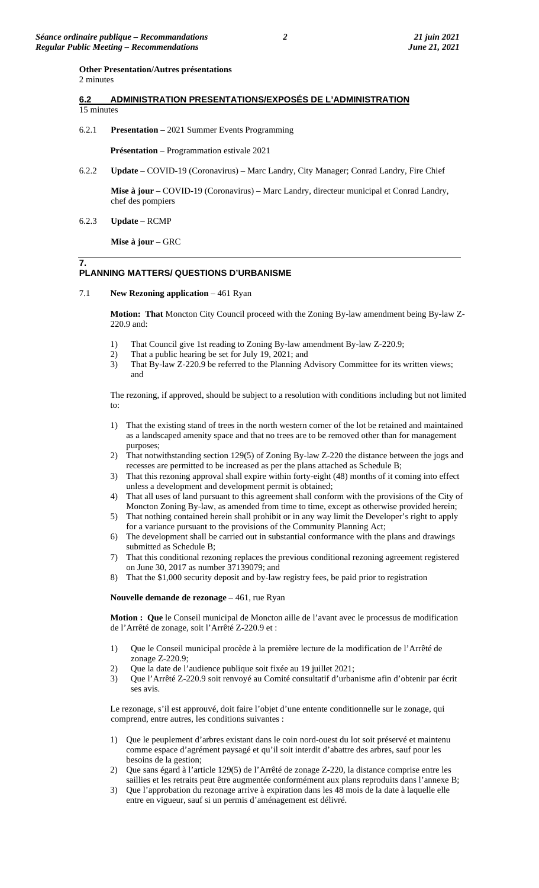#### **Other Presentation/Autres présentations**  2 minutes

## **6.2 ADMINISTRATION PRESENTATIONS/EXPOSÉS DE L'ADMINISTRATION**  15 minutes

6.2.1 **Presentation** – 2021 Summer Events Programming

**Présentation** – Programmation estivale 2021

6.2.2 **Update** – COVID-19 (Coronavirus) – Marc Landry, City Manager; Conrad Landry, Fire Chief

**Mise à jour** – COVID-19 (Coronavirus) – Marc Landry, directeur municipal et Conrad Landry, chef des pompiers

6.2.3 **Update** – RCMP

**Mise à jour** – GRC

### **7. PLANNING MATTERS/ QUESTIONS D'URBANISME**

## 7.1 **New Rezoning application** – 461 Ryan

**Motion: That** Moncton City Council proceed with the Zoning By-law amendment being By-law Z-220.9 and:

- 1) That Council give 1st reading to Zoning By-law amendment By-law Z-220.9;
- 2) That a public hearing be set for July 19, 2021; and
- 3) That By-law Z-220.9 be referred to the Planning Advisory Committee for its written views; and

The rezoning, if approved, should be subject to a resolution with conditions including but not limited to:

- 1) That the existing stand of trees in the north western corner of the lot be retained and maintained as a landscaped amenity space and that no trees are to be removed other than for management purposes;
- 2) That notwithstanding section 129(5) of Zoning By-law Z-220 the distance between the jogs and recesses are permitted to be increased as per the plans attached as Schedule B;
- 3) That this rezoning approval shall expire within forty-eight (48) months of it coming into effect unless a development and development permit is obtained;
- 4) That all uses of land pursuant to this agreement shall conform with the provisions of the City of Moncton Zoning By-law, as amended from time to time, except as otherwise provided herein;
- 5) That nothing contained herein shall prohibit or in any way limit the Developer's right to apply for a variance pursuant to the provisions of the Community Planning Act;
- 6) The development shall be carried out in substantial conformance with the plans and drawings submitted as Schedule B;
- 7) That this conditional rezoning replaces the previous conditional rezoning agreement registered on June 30, 2017 as number 37139079; and
- 8) That the \$1,000 security deposit and by-law registry fees, be paid prior to registration

**Nouvelle demande de rezonage** – 461, rue Ryan

**Motion : Que** le Conseil municipal de Moncton aille de l'avant avec le processus de modification de l'Arrêté de zonage, soit l'Arrêté Z-220.9 et :

- 1) Que le Conseil municipal procède à la première lecture de la modification de l'Arrêté de zonage Z-220.9;
- 2) Que la date de l'audience publique soit fixée au 19 juillet 2021;
- 3) Que l'Arrêté Z-220.9 soit renvoyé au Comité consultatif d'urbanisme afin d'obtenir par écrit ses avis.

Le rezonage, s'il est approuvé, doit faire l'objet d'une entente conditionnelle sur le zonage, qui comprend, entre autres, les conditions suivantes :

- 1) Que le peuplement d'arbres existant dans le coin nord-ouest du lot soit préservé et maintenu comme espace d'agrément paysagé et qu'il soit interdit d'abattre des arbres, sauf pour les besoins de la gestion;
- 2) Que sans égard à l'article 129(5) de l'Arrêté de zonage Z-220, la distance comprise entre les saillies et les retraits peut être augmentée conformément aux plans reproduits dans l'annexe B;
- 3) Que l'approbation du rezonage arrive à expiration dans les 48 mois de la date à laquelle elle entre en vigueur, sauf si un permis d'aménagement est délivré.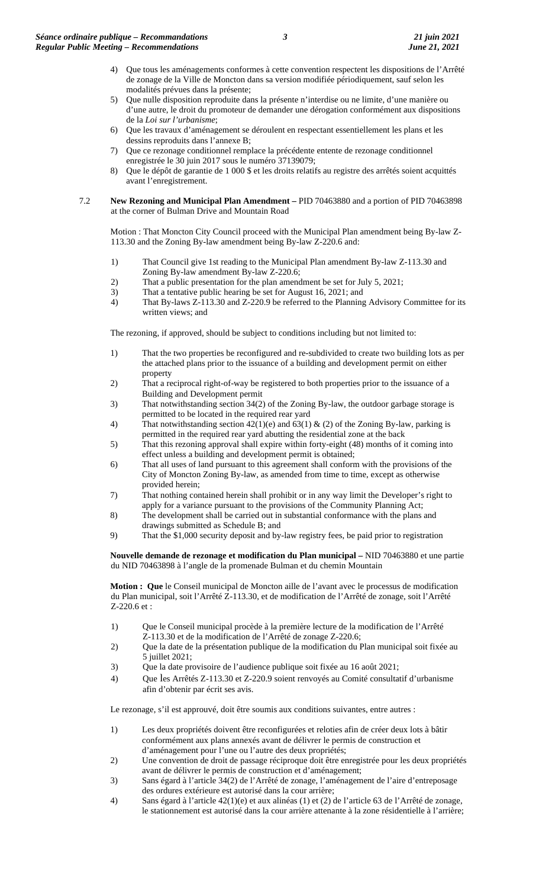- 4) Que tous les aménagements conformes à cette convention respectent les dispositions de l'Arrêté de zonage de la Ville de Moncton dans sa version modifiée périodiquement, sauf selon les modalités prévues dans la présente;
- 5) Que nulle disposition reproduite dans la présente n'interdise ou ne limite, d'une manière ou d'une autre, le droit du promoteur de demander une dérogation conformément aux dispositions de la *Loi sur l'urbanisme*;
- 6) Que les travaux d'aménagement se déroulent en respectant essentiellement les plans et les dessins reproduits dans l'annexe B;
- 7) Que ce rezonage conditionnel remplace la précédente entente de rezonage conditionnel enregistrée le 30 juin 2017 sous le numéro 37139079;
- 8) Que le dépôt de garantie de 1 000 \$ et les droits relatifs au registre des arrêtés soient acquittés avant l'enregistrement.
- 7.2 **New Rezoning and Municipal Plan Amendment –** PID 70463880 and a portion of PID 70463898 at the corner of Bulman Drive and Mountain Road

Motion : That Moncton City Council proceed with the Municipal Plan amendment being By-law Z-113.30 and the Zoning By-law amendment being By-law Z-220.6 and:

- 1) That Council give 1st reading to the Municipal Plan amendment By-law Z-113.30 and Zoning By-law amendment By-law Z-220.6;
- 2) That a public presentation for the plan amendment be set for July 5, 2021;
- 3) That a tentative public hearing be set for August 16, 2021; and 4) That By-laws Z-113.30 and Z-220.9 be referred to the Planning
- That By-laws Z-113.30 and Z-220.9 be referred to the Planning Advisory Committee for its written views; and

The rezoning, if approved, should be subject to conditions including but not limited to:

- 1) That the two properties be reconfigured and re-subdivided to create two building lots as per the attached plans prior to the issuance of a building and development permit on either property
- 2) That a reciprocal right-of-way be registered to both properties prior to the issuance of a Building and Development permit
- 3) That notwithstanding section 34(2) of the Zoning By-law, the outdoor garbage storage is permitted to be located in the required rear yard
- 4) That notwithstanding section  $42(1)(e)$  and  $63(1)$  & (2) of the Zoning By-law, parking is permitted in the required rear yard abutting the residential zone at the back
- 5) That this rezoning approval shall expire within forty-eight (48) months of it coming into effect unless a building and development permit is obtained;
- 6) That all uses of land pursuant to this agreement shall conform with the provisions of the City of Moncton Zoning By-law, as amended from time to time, except as otherwise provided herein;
- 7) That nothing contained herein shall prohibit or in any way limit the Developer's right to apply for a variance pursuant to the provisions of the Community Planning Act;
- 8) The development shall be carried out in substantial conformance with the plans and drawings submitted as Schedule B; and
- 9) That the \$1,000 security deposit and by-law registry fees, be paid prior to registration

**Nouvelle demande de rezonage et modification du Plan municipal –** NID 70463880 et une partie du NID 70463898 à l'angle de la promenade Bulman et du chemin Mountain

**Motion : Que** le Conseil municipal de Moncton aille de l'avant avec le processus de modification du Plan municipal, soit l'Arrêté Z-113.30, et de modification de l'Arrêté de zonage, soit l'Arrêté Z-220.6 et :

- 1) Que le Conseil municipal procède à la première lecture de la modification de l'Arrêté Z-113.30 et de la modification de l'Arrêté de zonage Z-220.6;
- 2) Que la date de la présentation publique de la modification du Plan municipal soit fixée au 5 juillet 2021;
- 3) Que la date provisoire de l'audience publique soit fixée au 16 août 2021;
- 4) Que les Arrêtés Z-113.30 et Z-220.9 soient renvoyés au Comité consultatif d'urbanisme afin d'obtenir par écrit ses avis.

Le rezonage, s'il est approuvé, doit être soumis aux conditions suivantes, entre autres :

- 1) Les deux propriétés doivent être reconfigurées et reloties afin de créer deux lots à bâtir conformément aux plans annexés avant de délivrer le permis de construction et d'aménagement pour l'une ou l'autre des deux propriétés;
- 2) Une convention de droit de passage réciproque doit être enregistrée pour les deux propriétés avant de délivrer le permis de construction et d'aménagement;
- 3) Sans égard à l'article 34(2) de l'Arrêté de zonage, l'aménagement de l'aire d'entreposage des ordures extérieure est autorisé dans la cour arrière;
- 4) Sans égard à l'article 42(1)(e) et aux alinéas (1) et (2) de l'article 63 de l'Arrêté de zonage, le stationnement est autorisé dans la cour arrière attenante à la zone résidentielle à l'arrière;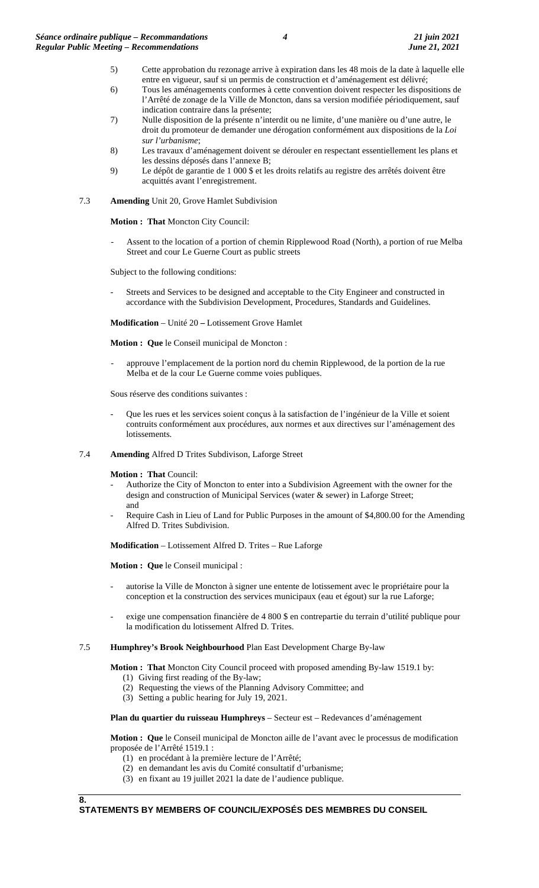- 5) Cette approbation du rezonage arrive à expiration dans les 48 mois de la date à laquelle elle entre en vigueur, sauf si un permis de construction et d'aménagement est délivré;
- 6) Tous les aménagements conformes à cette convention doivent respecter les dispositions de l'Arrêté de zonage de la Ville de Moncton, dans sa version modifiée périodiquement, sauf indication contraire dans la présente;
- 7) Nulle disposition de la présente n'interdit ou ne limite, d'une manière ou d'une autre, le droit du promoteur de demander une dérogation conformément aux dispositions de la *Loi sur l'urbanisme*;
- 8) Les travaux d'aménagement doivent se dérouler en respectant essentiellement les plans et les dessins déposés dans l'annexe B;
- 9) Le dépôt de garantie de 1 000 \$ et les droits relatifs au registre des arrêtés doivent être acquittés avant l'enregistrement.

# 7.3 **Amending** Unit 20, Grove Hamlet Subdivision

**Motion : That** Moncton City Council:

Assent to the location of a portion of chemin Ripplewood Road (North), a portion of rue Melba Street and cour Le Guerne Court as public streets

Subject to the following conditions:

Streets and Services to be designed and acceptable to the City Engineer and constructed in accordance with the Subdivision Development, Procedures, Standards and Guidelines.

**Modification** – Unité 20 **–** Lotissement Grove Hamlet

**Motion : Que** le Conseil municipal de Moncton :

approuve l'emplacement de la portion nord du chemin Ripplewood, de la portion de la rue Melba et de la cour Le Guerne comme voies publiques.

Sous réserve des conditions suivantes :

- Que les rues et les services soient conçus à la satisfaction de l'ingénieur de la Ville et soient contruits conformément aux procédures, aux normes et aux directives sur l'aménagement des lotissements.
- 7.4 **Amending** Alfred D Trites Subdivison, Laforge Street

**Motion : That** Council:

- Authorize the City of Moncton to enter into a Subdivision Agreement with the owner for the design and construction of Municipal Services (water & sewer) in Laforge Street; and
- Require Cash in Lieu of Land for Public Purposes in the amount of \$4,800.00 for the Amending Alfred D. Trites Subdivision.

**Modification** – Lotissement Alfred D. Trites – Rue Laforge

**Motion : Que** le Conseil municipal :

- autorise la Ville de Moncton à signer une entente de lotissement avec le propriétaire pour la conception et la construction des services municipaux (eau et égout) sur la rue Laforge;
- exige une compensation financière de 4 800 \$ en contrepartie du terrain d'utilité publique pour la modification du lotissement Alfred D. Trites.
- 7.5 **Humphrey's Brook Neighbourhood** Plan East Development Charge By-law

**Motion : That** Moncton City Council proceed with proposed amending By-law 1519.1 by:

- (1) Giving first reading of the By-law;
- (2) Requesting the views of the Planning Advisory Committee; and
- (3) Setting a public hearing for July 19, 2021.

**Plan du quartier du ruisseau Humphreys** – Secteur est – Redevances d'aménagement

**Motion : Que** le Conseil municipal de Moncton aille de l'avant avec le processus de modification proposée de l'Arrêté 1519.1 :

- (1) en procédant à la première lecture de l'Arrêté;
- (2) en demandant les avis du Comité consultatif d'urbanisme;
- (3) en fixant au 19 juillet 2021 la date de l'audience publique.

**8.**

# **STATEMENTS BY MEMBERS OF COUNCIL/EXPOSÉS DES MEMBRES DU CONSEIL**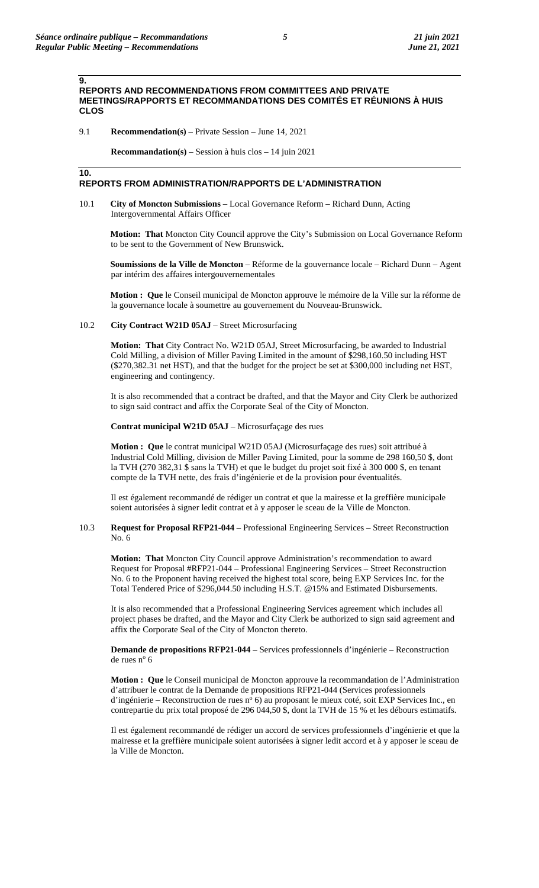### **9. REPORTS AND RECOMMENDATIONS FROM COMMITTEES AND PRIVATE MEETINGS/RAPPORTS ET RECOMMANDATIONS DES COMITÉS ET RÉUNIONS À HUIS CLOS**

9.1 **Recommendation(s)** – Private Session – June 14, 2021

**Recommandation(s)** – Session à huis clos – 14 juin 2021

### **10.**

## **REPORTS FROM ADMINISTRATION/RAPPORTS DE L'ADMINISTRATION**

10.1 **City of Moncton Submissions** – Local Governance Reform – Richard Dunn, Acting Intergovernmental Affairs Officer

**Motion: That** Moncton City Council approve the City's Submission on Local Governance Reform to be sent to the Government of New Brunswick.

**Soumissions de la Ville de Moncton** – Réforme de la gouvernance locale – Richard Dunn – Agent par intérim des affaires intergouvernementales

**Motion : Que** le Conseil municipal de Moncton approuve le mémoire de la Ville sur la réforme de la gouvernance locale à soumettre au gouvernement du Nouveau-Brunswick.

### 10.2 **City Contract W21D 05AJ** – Street Microsurfacing

**Motion: That** City Contract No. W21D 05AJ, Street Microsurfacing, be awarded to Industrial Cold Milling, a division of Miller Paving Limited in the amount of \$298,160.50 including HST (\$270,382.31 net HST), and that the budget for the project be set at \$300,000 including net HST, engineering and contingency.

It is also recommended that a contract be drafted, and that the Mayor and City Clerk be authorized to sign said contract and affix the Corporate Seal of the City of Moncton.

**Contrat municipal W21D 05AJ** – Microsurfaçage des rues

**Motion : Que** le contrat municipal W21D 05AJ (Microsurfaçage des rues) soit attribué à Industrial Cold Milling, division de Miller Paving Limited, pour la somme de 298 160,50 \$, dont la TVH (270 382,31 \$ sans la TVH) et que le budget du projet soit fixé à 300 000 \$, en tenant compte de la TVH nette, des frais d'ingénierie et de la provision pour éventualités.

Il est également recommandé de rédiger un contrat et que la mairesse et la greffière municipale soient autorisées à signer ledit contrat et à y apposer le sceau de la Ville de Moncton.

## 10.3 **Request for Proposal RFP21-044** – Professional Engineering Services – Street Reconstruction No. 6

**Motion: That** Moncton City Council approve Administration's recommendation to award Request for Proposal #RFP21-044 – Professional Engineering Services – Street Reconstruction No. 6 to the Proponent having received the highest total score, being EXP Services Inc. for the Total Tendered Price of \$296,044.50 including H.S.T. @15% and Estimated Disbursements.

It is also recommended that a Professional Engineering Services agreement which includes all project phases be drafted, and the Mayor and City Clerk be authorized to sign said agreement and affix the Corporate Seal of the City of Moncton thereto.

**Demande de propositions RFP21-044** – Services professionnels d'ingénierie – Reconstruction de rues nº 6

**Motion : Que** le Conseil municipal de Moncton approuve la recommandation de l'Administration d'attribuer le contrat de la Demande de propositions RFP21-044 (Services professionnels d'ingénierie – Reconstruction de rues n° 6) au proposant le mieux coté, soit EXP Services Inc., en contrepartie du prix total proposé de 296 044,50 \$, dont la TVH de 15 % et les débours estimatifs.

Il est également recommandé de rédiger un accord de services professionnels d'ingénierie et que la mairesse et la greffière municipale soient autorisées à signer ledit accord et à y apposer le sceau de la Ville de Moncton.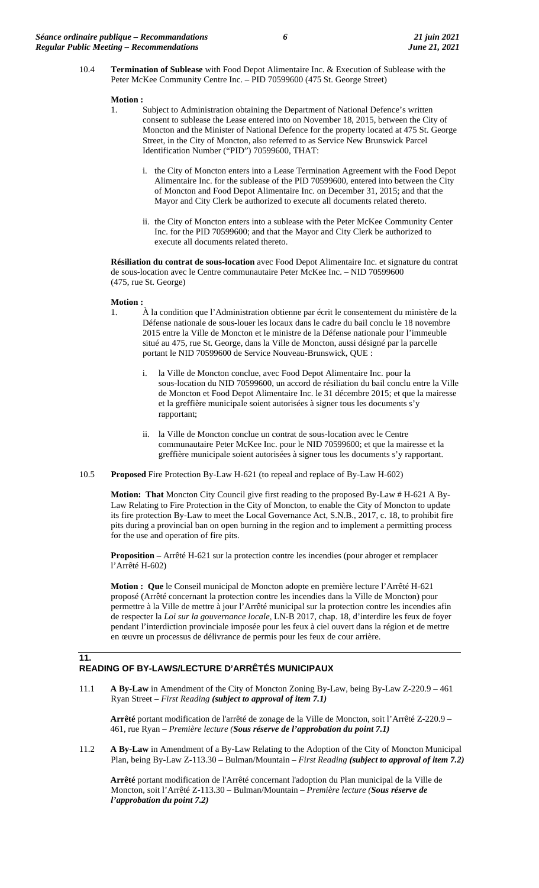10.4 **Termination of Sublease** with Food Depot Alimentaire Inc. & Execution of Sublease with the Peter McKee Community Centre Inc. – PID 70599600 (475 St. George Street)

### **Motion :**

- 1. Subject to Administration obtaining the Department of National Defence's written consent to sublease the Lease entered into on November 18, 2015, between the City of Moncton and the Minister of National Defence for the property located at 475 St. George Street, in the City of Moncton, also referred to as Service New Brunswick Parcel Identification Number ("PID") 70599600, THAT:
	- i. the City of Moncton enters into a Lease Termination Agreement with the Food Depot Alimentaire Inc. for the sublease of the PID 70599600, entered into between the City of Moncton and Food Depot Alimentaire Inc. on December 31, 2015; and that the Mayor and City Clerk be authorized to execute all documents related thereto.
	- ii. the City of Moncton enters into a sublease with the Peter McKee Community Center Inc. for the PID 70599600; and that the Mayor and City Clerk be authorized to execute all documents related thereto.

**Résiliation du contrat de sous-location** avec Food Depot Alimentaire Inc. et signature du contrat de sous-location avec le Centre communautaire Peter McKee Inc. – NID 70599600 (475, rue St. George)

### **Motion :**

- 1. À la condition que l'Administration obtienne par écrit le consentement du ministère de la Défense nationale de sous-louer les locaux dans le cadre du bail conclu le 18 novembre 2015 entre la Ville de Moncton et le ministre de la Défense nationale pour l'immeuble situé au 475, rue St. George, dans la Ville de Moncton, aussi désigné par la parcelle portant le NID 70599600 de Service Nouveau-Brunswick, QUE :
	- i. la Ville de Moncton conclue, avec Food Depot Alimentaire Inc. pour la sous-location du NID 70599600, un accord de résiliation du bail conclu entre la Ville de Moncton et Food Depot Alimentaire Inc. le 31 décembre 2015; et que la mairesse et la greffière municipale soient autorisées à signer tous les documents s'y rapportant;
	- ii. la Ville de Moncton conclue un contrat de sous-location avec le Centre communautaire Peter McKee Inc. pour le NID 70599600; et que la mairesse et la greffière municipale soient autorisées à signer tous les documents s'y rapportant.
- 10.5 **Proposed** Fire Protection By-Law H-621 (to repeal and replace of By-Law H-602)

**Motion: That** Moncton City Council give first reading to the proposed By-Law # H-621 A By-Law Relating to Fire Protection in the City of Moncton, to enable the City of Moncton to update its fire protection By-Law to meet the Local Governance Act, S.N.B., 2017, c. 18, to prohibit fire pits during a provincial ban on open burning in the region and to implement a permitting process for the use and operation of fire pits.

**Proposition –** Arrêté H-621 sur la protection contre les incendies (pour abroger et remplacer l'Arrêté H-602)

**Motion : Que** le Conseil municipal de Moncton adopte en première lecture l'Arrêté H-621 proposé (Arrêté concernant la protection contre les incendies dans la Ville de Moncton) pour permettre à la Ville de mettre à jour l'Arrêté municipal sur la protection contre les incendies afin de respecter la *Loi sur la gouvernance locale*, LN-B 2017, chap. 18, d'interdire les feux de foyer pendant l'interdiction provinciale imposée pour les feux à ciel ouvert dans la région et de mettre en œuvre un processus de délivrance de permis pour les feux de cour arrière.

# **11. READING OF BY-LAWS/LECTURE D'ARRÊTÉS MUNICIPAUX**

11.1 **A By-Law** in Amendment of the City of Moncton Zoning By-Law, being By-Law Z-220.9 – 461 Ryan Street – *First Reading (subject to approval of item 7.1)*

**Arrêté** portant modification de l'arrêté de zonage de la Ville de Moncton, soit l'Arrêté Z-220.9 – 461, rue Ryan – *Première lecture (Sous réserve de l'approbation du point 7.1)*

11.2 **A By-Law** in Amendment of a By-Law Relating to the Adoption of the City of Moncton Municipal Plan, being By-Law Z-113.30 – Bulman/Mountain – *First Reading (subject to approval of item 7.2)*

**Arrêté** portant modification de l'Arrêté concernant l'adoption du Plan municipal de la Ville de Moncton, soit l'Arrêté Z-113.30 – Bulman/Mountain – *Première lecture (Sous réserve de l'approbation du point 7.2)*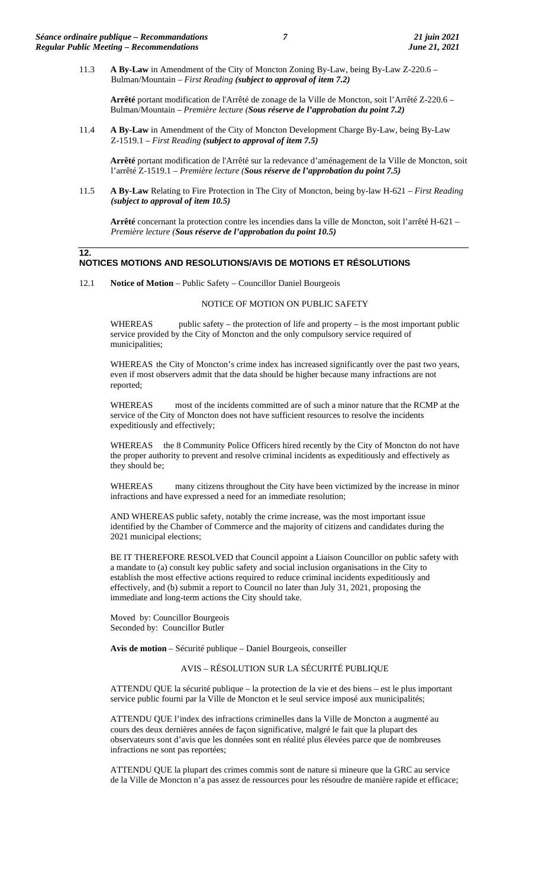11.3 **A By-Law** in Amendment of the City of Moncton Zoning By-Law, being By-Law Z-220.6 – Bulman/Mountain – *First Reading (subject to approval of item 7.2)*

**Arrêté** portant modification de l'Arrêté de zonage de la Ville de Moncton, soit l'Arrêté Z-220.6 – Bulman/Mountain – *Première lecture (Sous réserve de l'approbation du point 7.2)*

11.4 **A By-Law** in Amendment of the City of Moncton Development Charge By-Law, being By-Law Z-1519.1 – *First Reading (subject to approval of item 7.5)*

**Arrêté** portant modification de l'Arrêté sur la redevance d'aménagement de la Ville de Moncton, soit l'arrêté Z-1519.1 *– Première lecture (Sous réserve de l'approbation du point 7.5)*

11.5 **A By-Law** Relating to Fire Protection in The City of Moncton, being by-law H-621 – *First Reading (subject to approval of item 10.5)*

**Arrêté** concernant la protection contre les incendies dans la ville de Moncton, soit l'arrêté H-621 – *Première lecture (Sous réserve de l'approbation du point 10.5)*

### **12. NOTICES MOTIONS AND RESOLUTIONS/AVIS DE MOTIONS ET RÉSOLUTIONS**

12.1 **Notice of Motion** – Public Safety – Councillor Daniel Bourgeois

# NOTICE OF MOTION ON PUBLIC SAFETY

WHEREAS public safety – the protection of life and property – is the most important public service provided by the City of Moncton and the only compulsory service required of municipalities;

WHEREAS the City of Moncton's crime index has increased significantly over the past two years, even if most observers admit that the data should be higher because many infractions are not reported;

WHEREAS most of the incidents committed are of such a minor nature that the RCMP at the service of the City of Moncton does not have sufficient resources to resolve the incidents expeditiously and effectively;

WHEREAS the 8 Community Police Officers hired recently by the City of Moncton do not have the proper authority to prevent and resolve criminal incidents as expeditiously and effectively as they should be;

WHEREAS many citizens throughout the City have been victimized by the increase in minor infractions and have expressed a need for an immediate resolution;

AND WHEREAS public safety, notably the crime increase, was the most important issue identified by the Chamber of Commerce and the majority of citizens and candidates during the 2021 municipal elections;

BE IT THEREFORE RESOLVED that Council appoint a Liaison Councillor on public safety with a mandate to (a) consult key public safety and social inclusion organisations in the City to establish the most effective actions required to reduce criminal incidents expeditiously and effectively, and (b) submit a report to Council no later than July 31, 2021, proposing the immediate and long-term actions the City should take.

Moved by: Councillor Bourgeois Seconded by: Councillor Butler

**Avis de motion** – Sécurité publique – Daniel Bourgeois, conseiller

## AVIS – RÉSOLUTION SUR LA SÉCURITÉ PUBLIQUE

ATTENDU QUE la sécurité publique – la protection de la vie et des biens – est le plus important service public fourni par la Ville de Moncton et le seul service imposé aux municipalités;

ATTENDU QUE l'index des infractions criminelles dans la Ville de Moncton a augmenté au cours des deux dernières années de façon significative, malgré le fait que la plupart des observateurs sont d'avis que les données sont en réalité plus élevées parce que de nombreuses infractions ne sont pas reportées;

ATTENDU QUE la plupart des crimes commis sont de nature si mineure que la GRC au service de la Ville de Moncton n'a pas assez de ressources pour les résoudre de manière rapide et efficace;